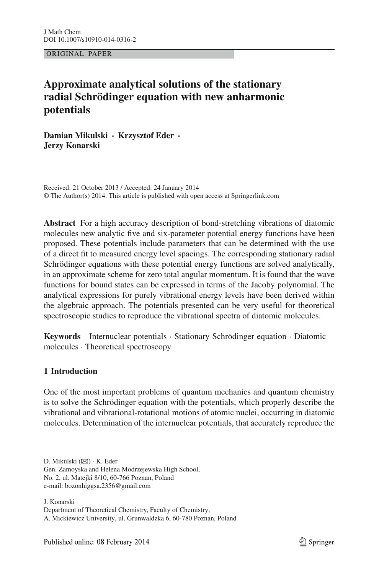ORIGINAL PAPER

# **Approximate analytical solutions of the stationary radial Schrödinger equation with new anharmonic potentials**

**Damian Mikulski · Krzysztof Eder · Jerzy Konarski**

Received: 21 October 2013 / Accepted: 24 January 2014 © The Author(s) 2014. This article is published with open access at Springerlink.com

**Abstract** For a high accuracy description of bond-stretching vibrations of diatomic molecules new analytic five and six-parameter potential energy functions have been proposed. These potentials include parameters that can be determined with the use of a direct fit to measured energy level spacings. The corresponding stationary radial Schrödinger equations with these potential energy functions are solved analytically, in an approximate scheme for zero total angular momentum. It is found that the wave functions for bound states can be expressed in terms of the Jacoby polynomial. The analytical expressions for purely vibrational energy levels have been derived within the algebraic approach. The potentials presented can be very useful for theoretical spectroscopic studies to reproduce the vibrational spectra of diatomic molecules.

**Keywords** Internuclear potentials · Stationary Schrödinger equation · Diatomic molecules · Theoretical spectroscopy

## **1 Introduction**

One of the most important problems of quantum mechanics and quantum chemistry is to solve the Schrödinger equation with the potentials, which properly describe the vibrational and vibrational-rotational motions of atomic nuclei, occurring in diatomic molecules. Determination of the internuclear potentials, that accurately reproduce the

J. Konarski

D. Mikulski (⊠) · K. Eder

Gen. Zamoyska and Helena Modrzejewska High School, No. 2, ul. Matejki 8/10, 60-766 Poznan, Poland e-mail: bozonhiggsa.2356@gmail.com

Department of Theoretical Chemistry, Faculty of Chemistry,

A. Mickiewicz University, ul. Grunwaldzka 6, 60-780 Poznan, Poland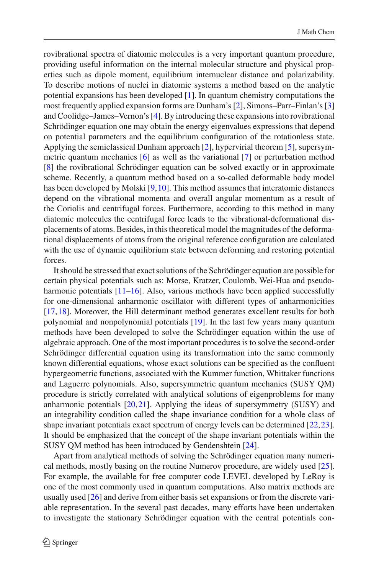rovibrational spectra of diatomic molecules is a very important quantum procedure, providing useful information on the internal molecular structure and physical properties such as dipole moment, equilibrium internuclear distance and polarizability. To describe motions of nuclei in diatomic systems a method based on the analytic potential expansions has been developed [\[1](#page-7-0)]. In quantum chemistry computations the most frequently applied expansion forms are Dunham's [\[2\]](#page-7-1), Simons–Parr–Finlan's [\[3\]](#page-7-2) and Coolidge–James–Vernon's [\[4](#page-7-3)]. By introducing these expansions into rovibrational Schrödinger equation one may obtain the energy eigenvalues expressions that depend on potential parameters and the equilibrium configuration of the rotationless state. Applying the semiclassical Dunham approach [\[2](#page-7-1)], hypervirial theorem [\[5\]](#page-7-4), supersymmetric quantum mechanics [\[6\]](#page-7-5) as well as the variational [\[7\]](#page-7-6) or perturbation method [\[8](#page-7-7)] the rovibrational Schrödinger equation can be solved exactly or in approximate scheme. Recently, a quantum method based on a so-called deformable body model has been developed by Molski [\[9,](#page-7-8)[10\]](#page-7-9). This method assumes that interatomic distances depend on the vibrational momenta and overall angular momentum as a result of the Coriolis and centrifugal forces. Furthermore, according to this method in many diatomic molecules the centrifugal force leads to the vibrational-deformational displacements of atoms. Besides, in this theoretical model the magnitudes of the deformational displacements of atoms from the original reference configuration are calculated with the use of dynamic equilibrium state between deforming and restoring potential forces.

It should be stressed that exact solutions of the Schrödinger equation are possible for certain physical potentials such as: Morse, Kratzer, Coulomb, Wei-Hua and pseudo-harmonic potentials [\[11](#page-7-10)[–16](#page-7-11)]. Also, various methods have been applied successfully for one-dimensional anharmonic oscillator with different types of anharmonicities [\[17](#page-7-12)[,18](#page-7-13)]. Moreover, the Hill determinant method generates excellent results for both polynomial and nonpolynomial potentials [\[19\]](#page-7-14). In the last few years many quantum methods have been developed to solve the Schrödinger equation within the use of algebraic approach. One of the most important procedures is to solve the second-order Schrödinger differential equation using its transformation into the same commonly known differential equations, whose exact solutions can be specified as the confluent hypergeometric functions, associated with the Kummer function, Whittaker functions and Laguerre polynomials. Also, supersymmetric quantum mechanics (SUSY QM) procedure is strictly correlated with analytical solutions of eigenproblems for many anharmonic potentials  $[20,21]$  $[20,21]$  $[20,21]$ . Applying the ideas of supersymmetry  $(SUSY)$  and an integrability condition called the shape invariance condition for a whole class of shape invariant potentials exact spectrum of energy levels can be determined [\[22](#page-7-17)[,23](#page-7-18)]. It should be emphasized that the concept of the shape invariant potentials within the SUSY QM method has been introduced by Gendenshtein [\[24\]](#page-7-19).

Apart from analytical methods of solving the Schrödinger equation many numerical methods, mostly basing on the routine Numerov procedure, are widely used [\[25](#page-7-20)]. For example, the available for free computer code LEVEL developed by LeRoy is one of the most commonly used in quantum computations. Also matrix methods are usually used [\[26](#page-7-21)] and derive from either basis set expansions or from the discrete variable representation. In the several past decades, many efforts have been undertaken to investigate the stationary Schrödinger equation with the central potentials con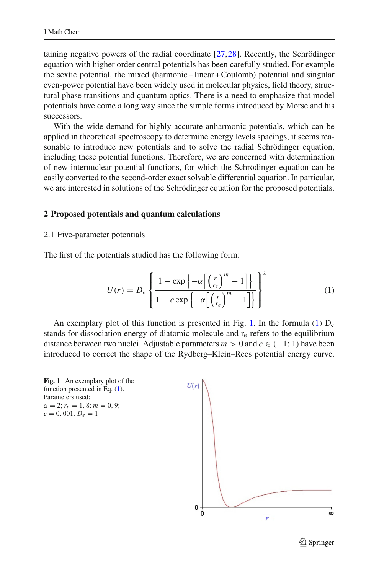taining negative powers of the radial coordinate [\[27](#page-7-22)[,28](#page-7-23)]. Recently, the Schrödinger equation with higher order central potentials has been carefully studied. For example the sextic potential, the mixed (harmonic +linear +Coulomb) potential and singular even-power potential have been widely used in molecular physics, field theory, structural phase transitions and quantum optics. There is a need to emphasize that model potentials have come a long way since the simple forms introduced by Morse and his successors.

With the wide demand for highly accurate anharmonic potentials, which can be applied in theoretical spectroscopy to determine energy levels spacings, it seems reasonable to introduce new potentials and to solve the radial Schrödinger equation, including these potential functions. Therefore, we are concerned with determination of new internuclear potential functions, for which the Schrödinger equation can be easily converted to the second-order exact solvable differential equation. In particular, we are interested in solutions of the Schrödinger equation for the proposed potentials.

#### **2 Proposed potentials and quantum calculations**

#### 2.1 Five-parameter potentials

<span id="page-2-1"></span>The first of the potentials studied has the following form:

$$
U(r) = D_e \left\{ \frac{1 - \exp\left\{-\alpha \left[ \left(\frac{r}{r_e}\right)^m - 1 \right] \right\}}{1 - c \exp\left\{-\alpha \left[ \left(\frac{r}{r_e}\right)^m - 1 \right] \right\}} \right\}^2 \tag{1}
$$

An exemplary plot of this function is presented in Fig. [1.](#page-2-0) In the formula [\(1\)](#page-2-1)  $D_e$ stands for dissociation energy of diatomic molecule and  $r<sub>e</sub>$  refers to the equilibrium distance between two nuclei. Adjustable parameters  $m > 0$  and  $c \in (-1, 1)$  have been introduced to correct the shape of the Rydberg–Klein–Rees potential energy curve.

<span id="page-2-0"></span>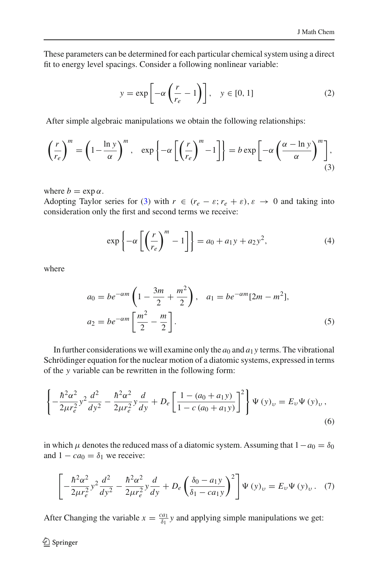These parameters can be determined for each particular chemical system using a direct fit to energy level spacings. Consider a following nonlinear variable:

$$
y = \exp\left[-\alpha \left(\frac{r}{r_e} - 1\right)\right], \quad y \in [0, 1]
$$
 (2)

After simple algebraic manipulations we obtain the following relationships:

<span id="page-3-0"></span>
$$
\left(\frac{r}{r_e}\right)^m = \left(1 - \frac{\ln y}{\alpha}\right)^m, \quad \exp\left\{-\alpha \left[\left(\frac{r}{r_e}\right)^m - 1\right]\right\} = b \exp\left[-\alpha \left(\frac{\alpha - \ln y}{\alpha}\right)^m\right],\tag{3}
$$

where  $b = \exp \alpha$ .

Adopting Taylor series for [\(3\)](#page-3-0) with  $r \in (r_e - \varepsilon; r_e + \varepsilon), \varepsilon \to 0$  and taking into consideration only the first and second terms we receive:

$$
\exp\left\{-\alpha \left[\left(\frac{r}{r_e}\right)^m - 1\right]\right\} = a_0 + a_1 y + a_2 y^2,\tag{4}
$$

where

$$
a_0 = be^{-\alpha m} \left( 1 - \frac{3m}{2} + \frac{m^2}{2} \right), \quad a_1 = be^{-\alpha m} [2m - m^2],
$$
  
\n
$$
a_2 = be^{-\alpha m} \left[ \frac{m^2}{2} - \frac{m}{2} \right].
$$
\n(5)

In further considerations we will examine only the  $a_0$  and  $a_1$  *y* terms. The vibrational Schrödinger equation for the nuclear motion of a diatomic systems, expressed in terms of the *y* variable can be rewritten in the following form:

$$
\left\{-\frac{\hbar^2 \alpha^2}{2\mu r_e^2} y^2 \frac{d^2}{dy^2} - \frac{\hbar^2 \alpha^2}{2\mu r_e^2} y \frac{d}{dy} + D_e \left[\frac{1 - (a_0 + a_1 y)}{1 - c (a_0 + a_1 y)}\right]^2\right\} \Psi(y)_v = E_v \Psi(y)_v,
$$
\n(6)

in which  $\mu$  denotes the reduced mass of a diatomic system. Assuming that  $1-a_0 = \delta_0$ and  $1 - ca_0 = \delta_1$  we receive:

$$
\left[ -\frac{\hbar^2 \alpha^2}{2\mu r_e^2} y^2 \frac{d^2}{dy^2} - \frac{\hbar^2 \alpha^2}{2\mu r_e^2} y \frac{d}{dy} + D_e \left( \frac{\delta_0 - a_1 y}{\delta_1 - ca_1 y} \right)^2 \right] \Psi (y)_v = E_v \Psi (y)_v. \tag{7}
$$

After Changing the variable  $x = \frac{ca_1}{\delta_1}y$  and applying simple manipulations we get: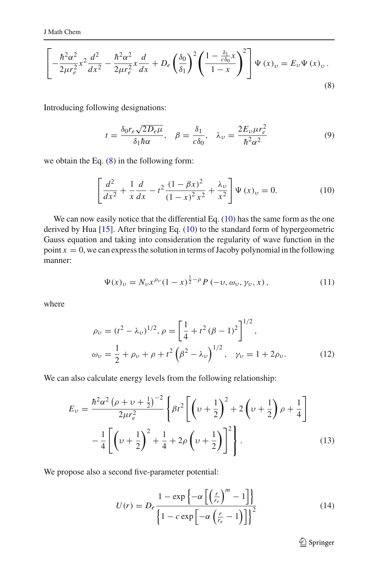<span id="page-4-0"></span>
$$
\left[-\frac{\hbar^2 \alpha^2}{2\mu r_e^2} x^2 \frac{d^2}{dx^2} - \frac{\hbar^2 \alpha^2}{2\mu r_e^2} x \frac{d}{dx} + D_e \left(\frac{\delta_0}{\delta_1}\right)^2 \left(\frac{1 - \frac{\delta_1}{c\delta_0} x}{1 - x}\right)^2 \right] \Psi \left(x\right)_\nu = E_\nu \Psi \left(x\right)_\nu.
$$
\n(8)

Introducing following designations:

$$
t = \frac{\delta_0 r_e \sqrt{2D_e \mu}}{\delta_1 \hbar \alpha}, \quad \beta = \frac{\delta_1}{c\delta_0}, \quad \lambda_\nu = \frac{2E_\nu \mu r_e^2}{\hbar^2 \alpha^2}
$$
(9)

<span id="page-4-1"></span>we obtain the Eq. [\(8\)](#page-4-0) in the following form:

$$
\left[\frac{d^2}{dx^2} + \frac{1}{x}\frac{d}{dx} - t^2 \frac{(1 - \beta x)^2}{(1 - x)^2 x^2} + \frac{\lambda_v}{x^2}\right] \Psi(x)_v = 0.
$$
 (10)

We can now easily notice that the differential Eq. [\(10\)](#page-4-1) has the same form as the one derived by Hua [\[15\]](#page-7-24). After bringing Eq. [\(10\)](#page-4-1) to the standard form of hypergeometric Gauss equation and taking into consideration the regularity of wave function in the point  $x = 0$ , we can express the solution in terms of Jacoby polynomial in the following manner:

$$
\Psi(x)_v = N_v x^{\rho_v} (1-x)^{\frac{1}{2}-\rho} P(-v, \omega_v, \gamma_v, x), \qquad (11)
$$

where

$$
\rho_{\nu} = (t^2 - \lambda_{\nu})^{1/2}, \rho = \left[\frac{1}{4} + t^2(\beta - 1)^2\right]^{1/2},
$$
  

$$
\omega_{\nu} = \frac{1}{2} + \rho_{\nu} + \rho + t^2(\beta^2 - \lambda_{\nu})^{1/2}, \quad \gamma_{\nu} = 1 + 2\rho_{\nu}.
$$
 (12)

We can also calculate energy levels from the following relationship:

$$
E_{\nu} = \frac{\hbar^2 \alpha^2 (\rho + \nu + \frac{1}{2})^{-2}}{2\mu r_e^2} \left\{ \beta t^2 \left[ \left( \nu + \frac{1}{2} \right)^2 + 2 \left( \nu + \frac{1}{2} \right) \rho + \frac{1}{4} \right] - \frac{1}{4} \left[ \left( \nu + \frac{1}{2} \right)^2 + \frac{1}{4} + 2\rho \left( \nu + \frac{1}{2} \right) \right]^2 \right\}.
$$
 (13)

We propose also a second five-parameter potential:

$$
U(r) = D_e \frac{1 - \exp\left\{-\alpha \left[\left(\frac{r}{r_e}\right)^m - 1\right]\right\}}{\left\{1 - c \exp\left[-\alpha \left(\frac{r}{r_e} - 1\right)\right]\right\}^2}
$$
(14)

<sup>2</sup> Springer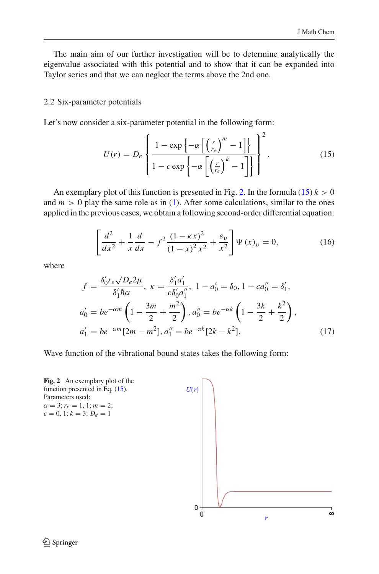The main aim of our further investigation will be to determine analytically the eigenvalue associated with this potential and to show that it can be expanded into Taylor series and that we can neglect the terms above the 2nd one.

#### 2.2 Six-parameter potentials

<span id="page-5-1"></span>Let's now consider a six-parameter potential in the following form:

$$
U(r) = D_e \left\{ \frac{1 - \exp\left\{-\alpha \left[ \left(\frac{r}{r_e}\right)^m - 1\right] \right\}}{1 - c \exp\left\{-\alpha \left[ \left(\frac{r}{r_e}\right)^k - 1\right] \right\}} \right\}^2.
$$
 (15)

An exemplary plot of this function is presented in Fig. [2.](#page-5-0) In the formula  $(15)$   $k > 0$ and  $m > 0$  play the same role as in [\(1\)](#page-2-1). After some calculations, similar to the ones applied in the previous cases, we obtain a following second-order differential equation:

$$
\left[\frac{d^2}{dx^2} + \frac{1}{x}\frac{d}{dx} - f^2 \frac{(1 - \kappa x)^2}{(1 - x)^2 x^2} + \frac{\varepsilon_v}{x^2}\right] \Psi(x)_v = 0,
$$
\n(16)

where

$$
f = \frac{\delta_0' r_e \sqrt{D_e 2\mu}}{\delta_1' \hbar \alpha}, \ \kappa = \frac{\delta_1' a_1'}{c \delta_0' a_1''}, \ 1 - a_0' = \delta_0, \ 1 - ca_0'' = \delta_1',
$$
  
\n
$$
a_0' = be^{-\alpha m} \left( 1 - \frac{3m}{2} + \frac{m^2}{2} \right), \ a_0'' = be^{-\alpha k} \left( 1 - \frac{3k}{2} + \frac{k^2}{2} \right),
$$
  
\n
$$
a_1' = be^{-\alpha m} [2m - m^2], \ a_1'' = be^{-\alpha k} [2k - k^2].
$$
\n(17)

Wave function of the vibrational bound states takes the following form:

<span id="page-5-0"></span>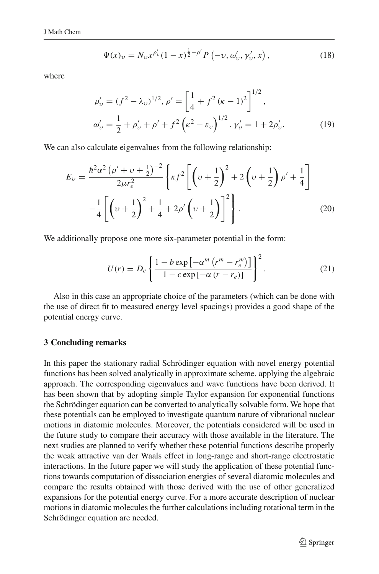$$
\Psi(x)_\nu = N_\nu x^{\rho'_\nu} (1-x)^{\frac{1}{2}-\rho'} P(-\nu, \omega'_\nu, \gamma'_\nu, x), \qquad (18)
$$

where

$$
\rho'_{\nu} = (f^2 - \lambda_{\nu})^{1/2}, \rho' = \left[\frac{1}{4} + f^2(\kappa - 1)^2\right]^{1/2},
$$
  
\n
$$
\omega'_{\nu} = \frac{1}{2} + \rho'_{\nu} + \rho' + f^2(\kappa^2 - \varepsilon_{\nu})^{1/2}, \gamma'_{\nu} = 1 + 2\rho'_{\nu}.
$$
\n(19)

We can also calculate eigenvalues from the following relationship:

$$
E_{\nu} = \frac{\hbar^2 \alpha^2 (\rho' + \nu + \frac{1}{2})^{-2}}{2\mu r_e^2} \left\{ \kappa f^2 \left[ \left( \nu + \frac{1}{2} \right)^2 + 2 \left( \nu + \frac{1}{2} \right) \rho' + \frac{1}{4} \right] - \frac{1}{4} \left[ \left( \nu + \frac{1}{2} \right)^2 + \frac{1}{4} + 2\rho' \left( \nu + \frac{1}{2} \right) \right]^2 \right\}.
$$
 (20)

We additionally propose one more six-parameter potential in the form:

$$
U(r) = D_e \left\{ \frac{1 - b \exp\left[-\alpha^m \left(r^m - r_e^m\right)\right]}{1 - c \exp\left[-\alpha \left(r - r_e\right)\right]}\right\}^2.
$$
 (21)

Also in this case an appropriate choice of the parameters (which can be done with the use of direct fit to measured energy level spacings) provides a good shape of the potential energy curve.

## **3 Concluding remarks**

In this paper the stationary radial Schrödinger equation with novel energy potential functions has been solved analytically in approximate scheme, applying the algebraic approach. The corresponding eigenvalues and wave functions have been derived. It has been shown that by adopting simple Taylor expansion for exponential functions the Schrödinger equation can be converted to analytically solvable form. We hope that these potentials can be employed to investigate quantum nature of vibrational nuclear motions in diatomic molecules. Moreover, the potentials considered will be used in the future study to compare their accuracy with those available in the literature. The next studies are planned to verify whether these potential functions describe properly the weak attractive van der Waals effect in long-range and short-range electrostatic interactions. In the future paper we will study the application of these potential functions towards computation of dissociation energies of several diatomic molecules and compare the results obtained with those derived with the use of other generalized expansions for the potential energy curve. For a more accurate description of nuclear motions in diatomic molecules the further calculations including rotational term in the Schrödinger equation are needed.